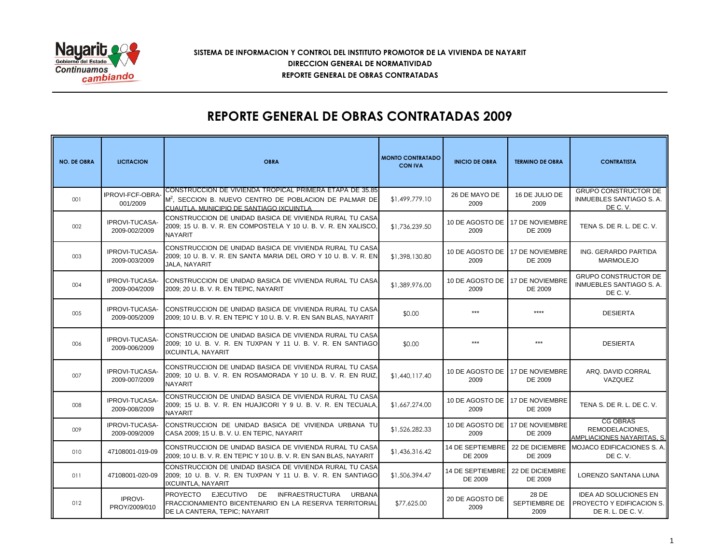

## **SISTEMA DE INFORMACION Y CONTROL DEL INSTITUTO PROMOTOR DE LA VIVIENDA DE NAYARIT REPORTE GENERAL DE OBRAS CONTRATADAS DIRECCION GENERAL DE NORMATIVIDAD**

## **REPORTE GENERAL DE OBRAS CONTRATADAS 2009**

| <b>NO. DE OBRA</b> | <b>LICITACION</b>               | <b>OBRA</b>                                                                                                                                                                | <b>MONTO CONTRATADO</b><br><b>CON IVA</b> | <b>INICIO DE OBRA</b>                    | <b>TERMINO DE OBRA</b>                     | <b>CONTRATISTA</b>                                                             |
|--------------------|---------------------------------|----------------------------------------------------------------------------------------------------------------------------------------------------------------------------|-------------------------------------------|------------------------------------------|--------------------------------------------|--------------------------------------------------------------------------------|
| 001                | IPROVI-FCF-OBRA-<br>001/2009    | CONSTRUCCION DE VIVIENDA TROPICAL PRIMERA ETAPA DE 35.85<br>M <sup>2</sup> , SECCION B. NUEVO CENTRO DE POBLACION DE PALMAR DE<br>CUAUTLA. MUNICIPIO DE SANTIAGO IXCUINTLA | \$1,499,779.10                            | 26 DE MAYO DE<br>2009                    | 16 DE JULIO DE<br>2009                     | <b>GRUPO CONSTRUCTOR DE</b><br>INMUEBLES SANTIAGO S. A.<br>DE C.V.             |
| 002                | IPROVI-TUCASA-<br>2009-002/2009 | CONSTRUCCION DE UNIDAD BASICA DE VIVIENDA RURAL TU CASA<br>2009; 15 U. B. V. R. EN COMPOSTELA Y 10 U. B. V. R. EN XALISCO,<br><b>NAYARIT</b>                               | \$1,736,239.50                            | 2009                                     | 10 DE AGOSTO DE 17 DE NOVIEMBRE<br>DE 2009 | TENA S. DE R. L. DE C. V.                                                      |
| 003                | IPROVI-TUCASA-<br>2009-003/2009 | CONSTRUCCION DE UNIDAD BASICA DE VIVIENDA RURAL TU CASA<br>2009; 10 U. B. V. R. EN SANTA MARIA DEL ORO Y 10 U. B. V. R. EN<br>JALA, NAYARIT                                | \$1,398,130.80                            | 10 DE AGOSTO DE 17 DE NOVIEMBRE<br>2009  | DE 2009                                    | ING. GERARDO PARTIDA<br><b>MARMOLEJO</b>                                       |
| 004                | IPROVI-TUCASA-<br>2009-004/2009 | CONSTRUCCION DE UNIDAD BASICA DE VIVIENDA RURAL TU CASA<br>2009; 20 U. B. V. R. EN TEPIC, NAYARIT                                                                          | \$1,389,976.00                            | 10 DE AGOSTO DE<br>2009                  | <b>17 DE NOVIEMBRE</b><br>DE 2009          | <b>GRUPO CONSTRUCTOR DE</b><br>INMUEBLES SANTIAGO S. A.<br>DE C.V.             |
| 005                | IPROVI-TUCASA-<br>2009-005/2009 | CONSTRUCCION DE UNIDAD BASICA DE VIVIENDA RURAL TU CASA<br>2009; 10 U. B. V. R. EN TEPIC Y 10 U. B. V. R. EN SAN BLAS, NAYARIT                                             | \$0.00                                    | ***                                      | ****                                       | <b>DESIERTA</b>                                                                |
| 006                | IPROVI-TUCASA-<br>2009-006/2009 | CONSTRUCCION DE UNIDAD BASICA DE VIVIENDA RURAL TU CASA<br>2009; 10 U. B. V. R. EN TUXPAN Y 11 U. B. V. R. EN SANTIAGO<br><b>IXCUINTLA, NAYARIT</b>                        | \$0.00                                    | ***                                      | ***                                        | <b>DESIERTA</b>                                                                |
| 007                | IPROVI-TUCASA-<br>2009-007/2009 | CONSTRUCCION DE UNIDAD BASICA DE VIVIENDA RURAL TU CASA<br>2009; 10 U. B. V. R. EN ROSAMORADA Y 10 U. B. V. R. EN RUIZ,<br><b>NAYARIT</b>                                  | \$1,440,117.40                            | 10 DE AGOSTO DE 117 DE NOVIEMBRE<br>2009 | DE 2009                                    | ARQ. DAVID CORRAL<br>VAZQUEZ                                                   |
| 008                | IPROVI-TUCASA-<br>2009-008/2009 | CONSTRUCCION DE UNIDAD BASICA DE VIVIENDA RURAL TU CASA<br>2009; 15 U. B. V. R. EN HUAJICORI Y 9 U. B. V. R. EN TECUALA.<br><b>NAYARIT</b>                                 | \$1,667,274.00                            | 2009                                     | 10 DE AGOSTO DE 17 DE NOVIEMBRE<br>DE 2009 | TENA S. DE R. L. DE C. V.                                                      |
| 009                | IPROVI-TUCASA-<br>2009-009/2009 | CONSTRUCCION DE UNIDAD BASICA DE VIVIENDA URBANA TU<br>CASA 2009; 15 U. B. V. U. EN TEPIC, NAYARIT                                                                         | \$1,526,282.33                            | 10 DE AGOSTO DE<br>2009                  | 17 DE NOVIEMBRE<br>DE 2009                 | <b>CG OBRAS</b><br>REMODELACIONES.<br>AMPLIACIONES NAYARITAS, S.               |
| 010                | 47108001-019-09                 | CONSTRUCCION DE UNIDAD BASICA DE VIVIENDA RURAL TU CASA<br>2009: 10 U. B. V. R. EN TEPIC Y 10 U. B. V. R. EN SAN BLAS, NAYARIT                                             | \$1,436,316.42                            | 14 DE SEPTIEMBRE<br>DE 2009              | 22 DE DICIEMBRE<br>DE 2009                 | MOJACO EDIFICACIONES S. A.<br>DE C.V.                                          |
| 011                | 47108001-020-09                 | CONSTRUCCION DE UNIDAD BASICA DE VIVIENDA RURAL TU CASA<br>2009; 10 U. B. V. R. EN TUXPAN Y 11 U. B. V. R. EN SANTIAGO<br>IXCUINTLA, NAYARIT                               | \$1,506,394.47                            | 14 DE SEPTIEMBRE<br>DE 2009              | 22 DE DICIEMBRE<br>DE 2009                 | LORENZO SANTANA LUNA                                                           |
| 012                | <b>IPROVI-</b><br>PROY/2009/010 | PROYECTO EJECUTIVO DE INFRAESTRUCTURA<br><b>URBANA</b><br>FRACCIONAMIENTO BICENTENARIO EN LA RESERVA TERRITORIAL<br>DE LA CANTERA, TEPIC; NAYARIT                          | \$77,625.00                               | 20 DE AGOSTO DE<br>2009                  | 28 DE<br>SEPTIEMBRE DE<br>2009             | <b>IDEA AD SOLUCIONES EN</b><br>PROYECTO Y EDIFICACION S.<br>DE R. L. DE C. V. |